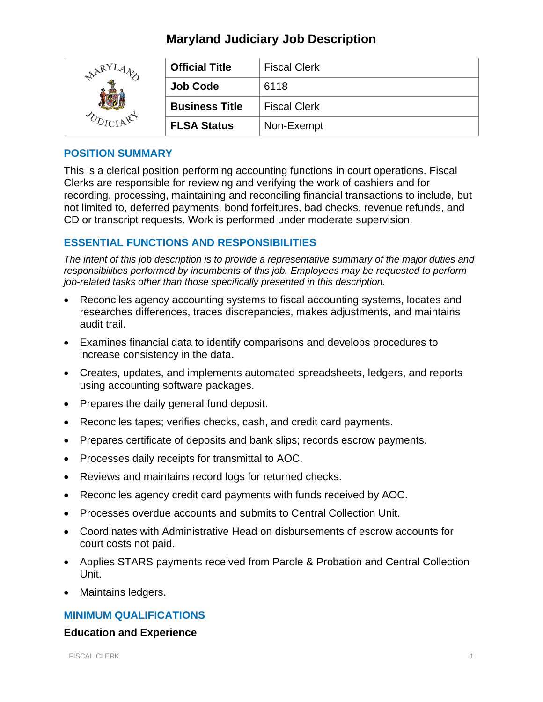# **Maryland Judiciary Job Description**

| ARY <sup>T</sup> | <b>Official Title</b> | <b>Fiscal Clerk</b> |
|------------------|-----------------------|---------------------|
|                  | <b>Job Code</b>       | 6118                |
|                  | <b>Business Title</b> | <b>Fiscal Clerk</b> |
|                  | <b>FLSA Status</b>    | Non-Exempt          |

#### **POSITION SUMMARY**

This is a clerical position performing accounting functions in court operations. Fiscal Clerks are responsible for reviewing and verifying the work of cashiers and for recording, processing, maintaining and reconciling financial transactions to include, but not limited to, deferred payments, bond forfeitures, bad checks, revenue refunds, and CD or transcript requests. Work is performed under moderate supervision.

# **ESSENTIAL FUNCTIONS AND RESPONSIBILITIES**

*The intent of this job description is to provide a representative summary of the major duties and responsibilities performed by incumbents of this job. Employees may be requested to perform job-related tasks other than those specifically presented in this description.*

- Reconciles agency accounting systems to fiscal accounting systems, locates and researches differences, traces discrepancies, makes adjustments, and maintains audit trail.
- Examines financial data to identify comparisons and develops procedures to increase consistency in the data.
- Creates, updates, and implements automated spreadsheets, ledgers, and reports using accounting software packages.
- Prepares the daily general fund deposit.
- Reconciles tapes; verifies checks, cash, and credit card payments.
- Prepares certificate of deposits and bank slips; records escrow payments.
- Processes daily receipts for transmittal to AOC.
- Reviews and maintains record logs for returned checks.
- Reconciles agency credit card payments with funds received by AOC.
- Processes overdue accounts and submits to Central Collection Unit.
- Coordinates with Administrative Head on disbursements of escrow accounts for court costs not paid.
- Applies STARS payments received from Parole & Probation and Central Collection Unit.
- Maintains ledgers.

# **MINIMUM QUALIFICATIONS**

#### **Education and Experience**

FISCAL CLERK 1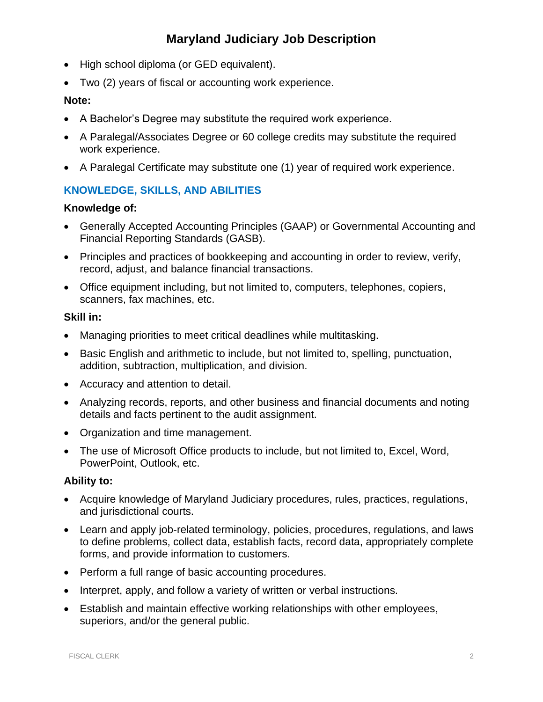# **Maryland Judiciary Job Description**

- High school diploma (or GED equivalent).
- Two (2) years of fiscal or accounting work experience.

#### **Note:**

- A Bachelor's Degree may substitute the required work experience.
- A Paralegal/Associates Degree or 60 college credits may substitute the required work experience.
- A Paralegal Certificate may substitute one (1) year of required work experience.

# **KNOWLEDGE, SKILLS, AND ABILITIES**

#### **Knowledge of:**

- Generally Accepted Accounting Principles (GAAP) or Governmental Accounting and Financial Reporting Standards (GASB).
- Principles and practices of bookkeeping and accounting in order to review, verify, record, adjust, and balance financial transactions.
- Office equipment including, but not limited to, computers, telephones, copiers, scanners, fax machines, etc.

#### **Skill in:**

- Managing priorities to meet critical deadlines while multitasking.
- Basic English and arithmetic to include, but not limited to, spelling, punctuation, addition, subtraction, multiplication, and division.
- Accuracy and attention to detail.
- Analyzing records, reports, and other business and financial documents and noting details and facts pertinent to the audit assignment.
- Organization and time management.
- The use of Microsoft Office products to include, but not limited to, Excel, Word, PowerPoint, Outlook, etc.

# **Ability to:**

- Acquire knowledge of Maryland Judiciary procedures, rules, practices, regulations, and jurisdictional courts.
- Learn and apply job-related terminology, policies, procedures, regulations, and laws to define problems, collect data, establish facts, record data, appropriately complete forms, and provide information to customers.
- Perform a full range of basic accounting procedures.
- Interpret, apply, and follow a variety of written or verbal instructions.
- Establish and maintain effective working relationships with other employees, superiors, and/or the general public.